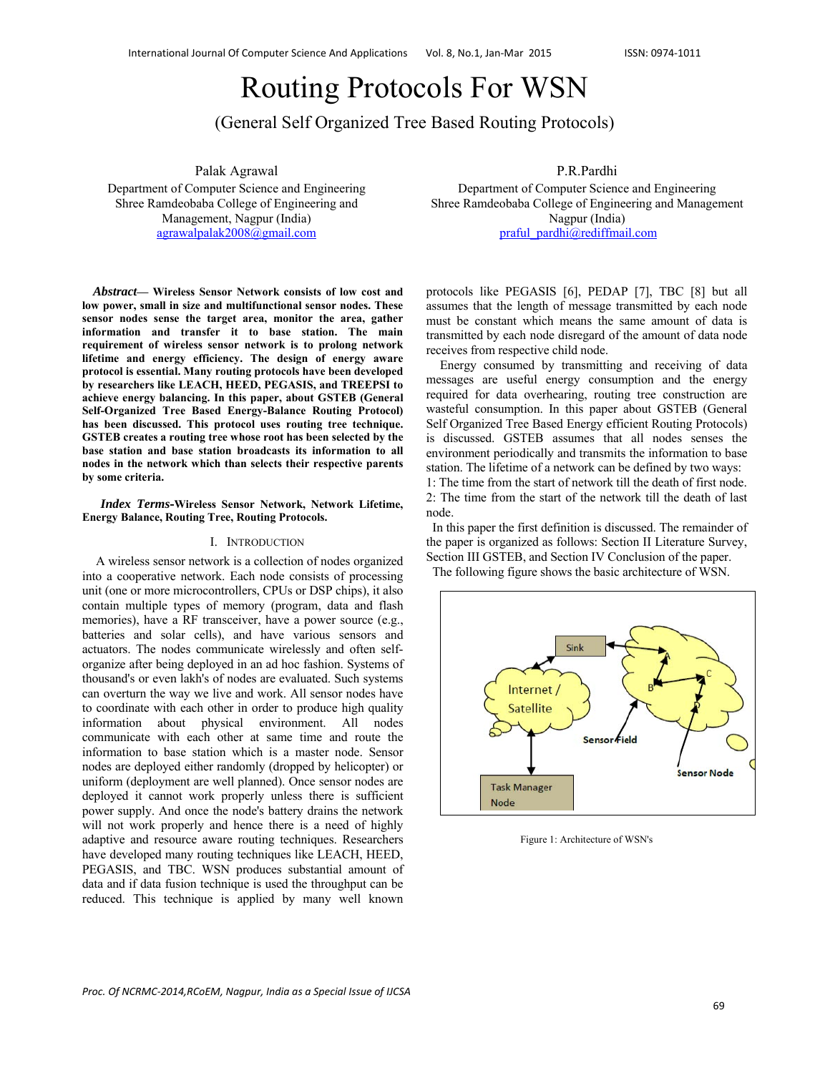# Routing Protocols For WSN

(General Self Organized Tree Based Routing Protocols)

Palak Agrawal

Department of Computer Science and Engineering Shree Ramdeobaba College of Engineering and Management, Nagpur (India) agrawalpalak2008@gmail.com

*Abstract***— Wireless Sensor Network consists of low cost and low power, small in size and multifunctional sensor nodes. These sensor nodes sense the target area, monitor the area, gather information and transfer it to base station. The main requirement of wireless sensor network is to prolong network lifetime and energy efficiency. The design of energy aware protocol is essential. Many routing protocols have been developed by researchers like LEACH, HEED, PEGASIS, and TREEPSI to achieve energy balancing. In this paper, about GSTEB (General Self-Organized Tree Based Energy-Balance Routing Protocol) has been discussed. This protocol uses routing tree technique. GSTEB creates a routing tree whose root has been selected by the base station and base station broadcasts its information to all nodes in the network which than selects their respective parents by some criteria.** 

#### *Index Terms***-Wireless Sensor Network, Network Lifetime, Energy Balance, Routing Tree, Routing Protocols.**

#### I. INTRODUCTION

A wireless sensor network is a collection of nodes organized into a cooperative network. Each node consists of processing unit (one or more microcontrollers, CPUs or DSP chips), it also contain multiple types of memory (program, data and flash memories), have a RF transceiver, have a power source (e.g., batteries and solar cells), and have various sensors and actuators. The nodes communicate wirelessly and often selforganize after being deployed in an ad hoc fashion. Systems of thousand's or even lakh's of nodes are evaluated. Such systems can overturn the way we live and work. All sensor nodes have to coordinate with each other in order to produce high quality information about physical environment. All nodes communicate with each other at same time and route the information to base station which is a master node. Sensor nodes are deployed either randomly (dropped by helicopter) or uniform (deployment are well planned). Once sensor nodes are deployed it cannot work properly unless there is sufficient power supply. And once the node's battery drains the network will not work properly and hence there is a need of highly adaptive and resource aware routing techniques. Researchers have developed many routing techniques like LEACH, HEED, PEGASIS, and TBC. WSN produces substantial amount of data and if data fusion technique is used the throughput can be reduced. This technique is applied by many well known P.R.Pardhi

Department of Computer Science and Engineering Shree Ramdeobaba College of Engineering and Management Nagpur (India) praful\_pardhi@rediffmail.com

protocols like PEGASIS [6], PEDAP [7], TBC [8] but all assumes that the length of message transmitted by each node must be constant which means the same amount of data is transmitted by each node disregard of the amount of data node receives from respective child node.

Energy consumed by transmitting and receiving of data messages are useful energy consumption and the energy required for data overhearing, routing tree construction are wasteful consumption. In this paper about GSTEB (General Self Organized Tree Based Energy efficient Routing Protocols) is discussed. GSTEB assumes that all nodes senses the environment periodically and transmits the information to base station. The lifetime of a network can be defined by two ways: 1: The time from the start of network till the death of first node.

2: The time from the start of the network till the death of last node.

 In this paper the first definition is discussed. The remainder of the paper is organized as follows: Section II Literature Survey, Section III GSTEB, and Section IV Conclusion of the paper. The following figure shows the basic architecture of WSN.



Figure 1: Architecture of WSN's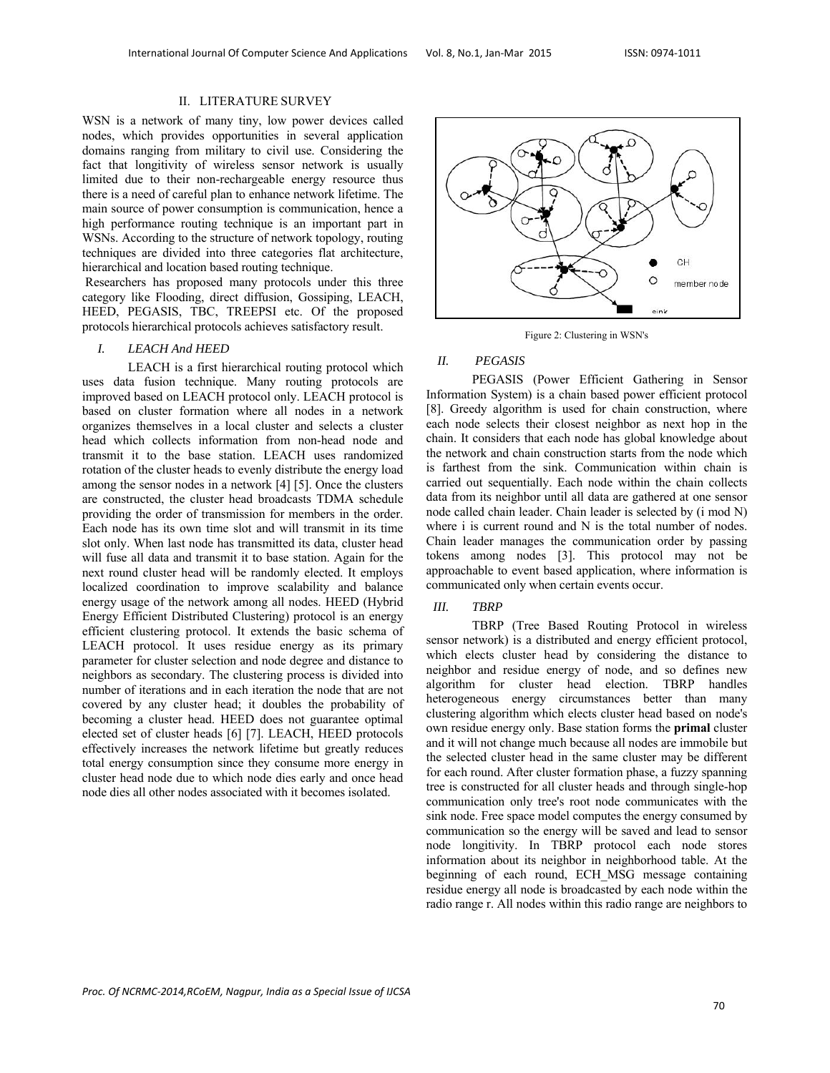#### II. LITERATURE SURVEY

WSN is a network of many tiny, low power devices called nodes, which provides opportunities in several application domains ranging from military to civil use. Considering the fact that longitivity of wireless sensor network is usually limited due to their non-rechargeable energy resource thus there is a need of careful plan to enhance network lifetime. The main source of power consumption is communication, hence a high performance routing technique is an important part in WSNs. According to the structure of network topology, routing techniques are divided into three categories flat architecture, hierarchical and location based routing technique.

 Researchers has proposed many protocols under this three category like Flooding, direct diffusion, Gossiping, LEACH, HEED, PEGASIS, TBC, TREEPSI etc. Of the proposed protocols hierarchical protocols achieves satisfactory result.

#### *I. LEACH And HEED*

LEACH is a first hierarchical routing protocol which uses data fusion technique. Many routing protocols are improved based on LEACH protocol only. LEACH protocol is based on cluster formation where all nodes in a network organizes themselves in a local cluster and selects a cluster head which collects information from non-head node and transmit it to the base station. LEACH uses randomized rotation of the cluster heads to evenly distribute the energy load among the sensor nodes in a network [4] [5]. Once the clusters are constructed, the cluster head broadcasts TDMA schedule providing the order of transmission for members in the order. Each node has its own time slot and will transmit in its time slot only. When last node has transmitted its data, cluster head will fuse all data and transmit it to base station. Again for the next round cluster head will be randomly elected. It employs localized coordination to improve scalability and balance energy usage of the network among all nodes. HEED (Hybrid Energy Efficient Distributed Clustering) protocol is an energy efficient clustering protocol. It extends the basic schema of LEACH protocol. It uses residue energy as its primary parameter for cluster selection and node degree and distance to neighbors as secondary. The clustering process is divided into number of iterations and in each iteration the node that are not covered by any cluster head; it doubles the probability of becoming a cluster head. HEED does not guarantee optimal elected set of cluster heads [6] [7]. LEACH, HEED protocols effectively increases the network lifetime but greatly reduces total energy consumption since they consume more energy in cluster head node due to which node dies early and once head node dies all other nodes associated with it becomes isolated.



Figure 2: Clustering in WSN's

#### *II. PEGASIS*

PEGASIS (Power Efficient Gathering in Sensor Information System) is a chain based power efficient protocol [8]. Greedy algorithm is used for chain construction, where each node selects their closest neighbor as next hop in the chain. It considers that each node has global knowledge about the network and chain construction starts from the node which is farthest from the sink. Communication within chain is carried out sequentially. Each node within the chain collects data from its neighbor until all data are gathered at one sensor node called chain leader. Chain leader is selected by (i mod N) where i is current round and N is the total number of nodes. Chain leader manages the communication order by passing tokens among nodes [3]. This protocol may not be approachable to event based application, where information is communicated only when certain events occur.

### *III. TBRP*

TBRP (Tree Based Routing Protocol in wireless sensor network) is a distributed and energy efficient protocol, which elects cluster head by considering the distance to neighbor and residue energy of node, and so defines new algorithm for cluster head election. TBRP handles heterogeneous energy circumstances better than many clustering algorithm which elects cluster head based on node's own residue energy only. Base station forms the **primal** cluster and it will not change much because all nodes are immobile but the selected cluster head in the same cluster may be different for each round. After cluster formation phase, a fuzzy spanning tree is constructed for all cluster heads and through single-hop communication only tree's root node communicates with the sink node. Free space model computes the energy consumed by communication so the energy will be saved and lead to sensor node longitivity. In TBRP protocol each node stores information about its neighbor in neighborhood table. At the beginning of each round, ECH\_MSG message containing residue energy all node is broadcasted by each node within the radio range r. All nodes within this radio range are neighbors to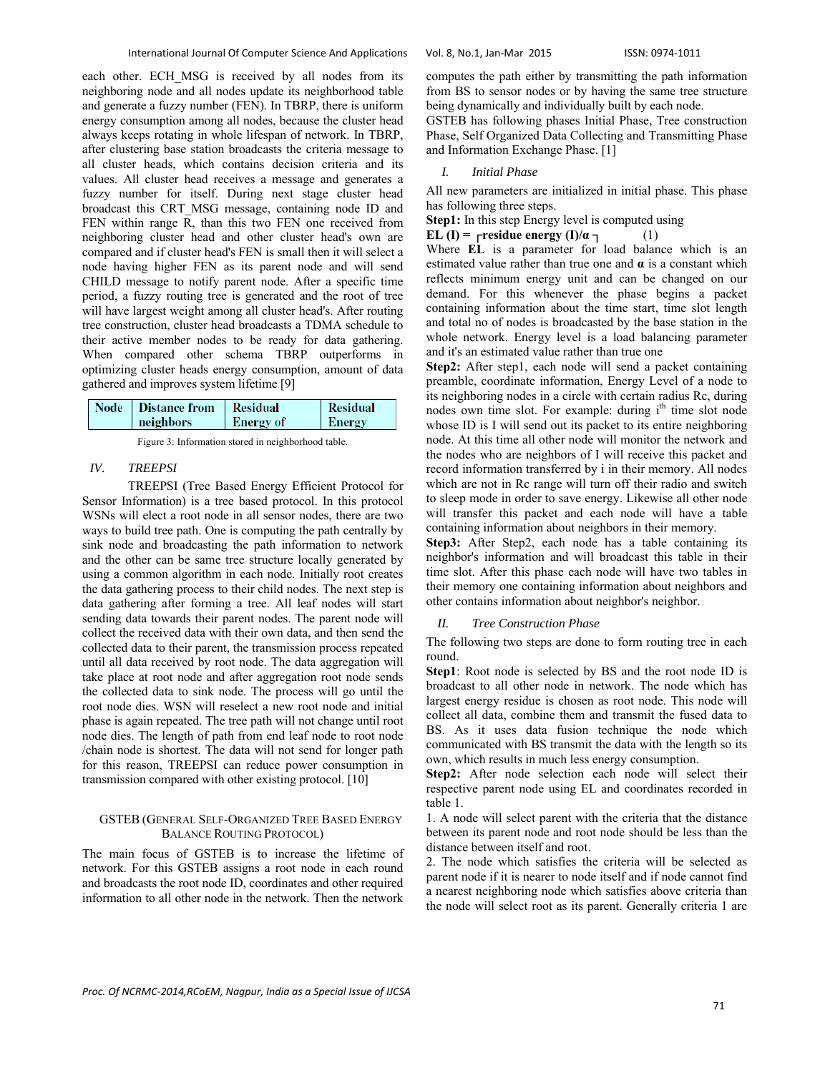each other. ECH\_MSG is received by all nodes from its neighboring node and all nodes update its neighborhood table and generate a fuzzy number (FEN). In TBRP, there is uniform energy consumption among all nodes, because the cluster head always keeps rotating in whole lifespan of network. In TBRP, after clustering base station broadcasts the criteria message to all cluster heads, which contains decision criteria and its values. All cluster head receives a message and generates a fuzzy number for itself. During next stage cluster head broadcast this CRT\_MSG message, containing node ID and FEN within range R, than this two FEN one received from neighboring cluster head and other cluster head's own are compared and if cluster head's FEN is small then it will select a node having higher FEN as its parent node and will send CHILD message to notify parent node. After a specific time period, a fuzzy routing tree is generated and the root of tree will have largest weight among all cluster head's. After routing tree construction, cluster head broadcasts a TDMA schedule to their active member nodes to be ready for data gathering. When compared other schema TBRP outperforms in optimizing cluster heads energy consumption, amount of data gathered and improves system lifetime [9]

|--|

Figure 3: Information stored in neighborhood table.

# *IV. TREEPSI*

TREEPSI (Tree Based Energy Efficient Protocol for Sensor Information) is a tree based protocol. In this protocol WSNs will elect a root node in all sensor nodes, there are two ways to build tree path. One is computing the path centrally by sink node and broadcasting the path information to network and the other can be same tree structure locally generated by using a common algorithm in each node. Initially root creates the data gathering process to their child nodes. The next step is data gathering after forming a tree. All leaf nodes will start sending data towards their parent nodes. The parent node will collect the received data with their own data, and then send the collected data to their parent, the transmission process repeated until all data received by root node. The data aggregation will take place at root node and after aggregation root node sends the collected data to sink node. The process will go until the root node dies. WSN will reselect a new root node and initial phase is again repeated. The tree path will not change until root node dies. The length of path from end leaf node to root node /chain node is shortest. The data will not send for longer path for this reason, TREEPSI can reduce power consumption in transmission compared with other existing protocol. [10]

#### GSTEB (GENERAL SELF-ORGANIZED TREE BASED ENERGY BALANCE ROUTING PROTOCOL)

The main focus of GSTEB is to increase the lifetime of network. For this GSTEB assigns a root node in each round and broadcasts the root node ID, coordinates and other required information to all other node in the network. Then the network computes the path either by transmitting the path information from BS to sensor nodes or by having the same tree structure being dynamically and individually built by each node.

GSTEB has following phases Initial Phase, Tree construction Phase, Self Organized Data Collecting and Transmitting Phase and Information Exchange Phase. [1]

## *I. Initial Phase*

All new parameters are initialized in initial phase. This phase has following three steps.

**Step1:** In this step Energy level is computed using

**EL (I) =**  $\Gamma$ **residue energy (I)/** $\alpha$  $\Gamma$  **(1)** 

Where **EL** is a parameter for load balance which is an estimated value rather than true one and  $\alpha$  is a constant which reflects minimum energy unit and can be changed on our demand. For this whenever the phase begins a packet containing information about the time start, time slot length and total no of nodes is broadcasted by the base station in the whole network. Energy level is a load balancing parameter and it's an estimated value rather than true one

**Step2:** After step1, each node will send a packet containing preamble, coordinate information, Energy Level of a node to its neighboring nodes in a circle with certain radius Rc, during nodes own time slot. For example: during i<sup>th</sup> time slot node whose ID is I will send out its packet to its entire neighboring node. At this time all other node will monitor the network and the nodes who are neighbors of I will receive this packet and record information transferred by i in their memory. All nodes which are not in Rc range will turn off their radio and switch to sleep mode in order to save energy. Likewise all other node will transfer this packet and each node will have a table containing information about neighbors in their memory.

**Step3:** After Step2, each node has a table containing its neighbor's information and will broadcast this table in their time slot. After this phase each node will have two tables in their memory one containing information about neighbors and other contains information about neighbor's neighbor.

#### *II. Tree Construction Phase*

The following two steps are done to form routing tree in each round.

**Step1**: Root node is selected by BS and the root node ID is broadcast to all other node in network. The node which has largest energy residue is chosen as root node. This node will collect all data, combine them and transmit the fused data to BS. As it uses data fusion technique the node which communicated with BS transmit the data with the length so its own, which results in much less energy consumption.

**Step2:** After node selection each node will select their respective parent node using EL and coordinates recorded in table 1.

1. A node will select parent with the criteria that the distance between its parent node and root node should be less than the distance between itself and root.

2. The node which satisfies the criteria will be selected as parent node if it is nearer to node itself and if node cannot find a nearest neighboring node which satisfies above criteria than the node will select root as its parent. Generally criteria 1 are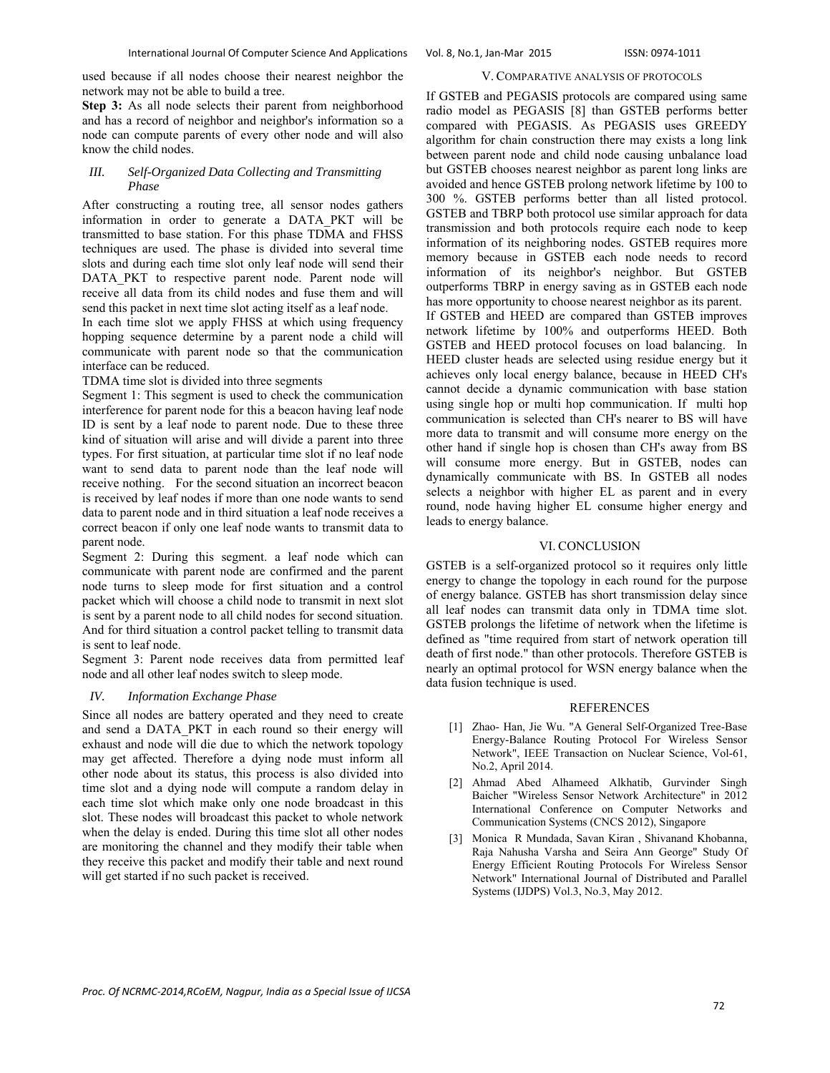used because if all nodes choose their nearest neighbor the network may not be able to build a tree.

**Step 3:** As all node selects their parent from neighborhood and has a record of neighbor and neighbor's information so a node can compute parents of every other node and will also know the child nodes.

#### *III. Self-Organized Data Collecting and Transmitting Phase*

After constructing a routing tree, all sensor nodes gathers information in order to generate a DATA\_PKT will be transmitted to base station. For this phase TDMA and FHSS techniques are used. The phase is divided into several time slots and during each time slot only leaf node will send their DATA PKT to respective parent node. Parent node will receive all data from its child nodes and fuse them and will send this packet in next time slot acting itself as a leaf node.

In each time slot we apply FHSS at which using frequency hopping sequence determine by a parent node a child will communicate with parent node so that the communication interface can be reduced.

TDMA time slot is divided into three segments

Segment 1: This segment is used to check the communication interference for parent node for this a beacon having leaf node ID is sent by a leaf node to parent node. Due to these three kind of situation will arise and will divide a parent into three types. For first situation, at particular time slot if no leaf node want to send data to parent node than the leaf node will receive nothing. For the second situation an incorrect beacon is received by leaf nodes if more than one node wants to send data to parent node and in third situation a leaf node receives a correct beacon if only one leaf node wants to transmit data to parent node.

Segment 2: During this segment. a leaf node which can communicate with parent node are confirmed and the parent node turns to sleep mode for first situation and a control packet which will choose a child node to transmit in next slot is sent by a parent node to all child nodes for second situation. And for third situation a control packet telling to transmit data is sent to leaf node.

Segment 3: Parent node receives data from permitted leaf node and all other leaf nodes switch to sleep mode.

#### *IV. Information Exchange Phase*

Since all nodes are battery operated and they need to create and send a DATA\_PKT in each round so their energy will exhaust and node will die due to which the network topology may get affected. Therefore a dying node must inform all other node about its status, this process is also divided into time slot and a dying node will compute a random delay in each time slot which make only one node broadcast in this slot. These nodes will broadcast this packet to whole network when the delay is ended. During this time slot all other nodes are monitoring the channel and they modify their table when they receive this packet and modify their table and next round will get started if no such packet is received.

#### V. COMPARATIVE ANALYSIS OF PROTOCOLS

If GSTEB and PEGASIS protocols are compared using same radio model as PEGASIS [8] than GSTEB performs better compared with PEGASIS. As PEGASIS uses GREEDY algorithm for chain construction there may exists a long link between parent node and child node causing unbalance load but GSTEB chooses nearest neighbor as parent long links are avoided and hence GSTEB prolong network lifetime by 100 to 300 %. GSTEB performs better than all listed protocol. GSTEB and TBRP both protocol use similar approach for data transmission and both protocols require each node to keep information of its neighboring nodes. GSTEB requires more memory because in GSTEB each node needs to record information of its neighbor's neighbor. But GSTEB outperforms TBRP in energy saving as in GSTEB each node has more opportunity to choose nearest neighbor as its parent. If GSTEB and HEED are compared than GSTEB improves network lifetime by 100% and outperforms HEED. Both GSTEB and HEED protocol focuses on load balancing. In HEED cluster heads are selected using residue energy but it achieves only local energy balance, because in HEED CH's cannot decide a dynamic communication with base station using single hop or multi hop communication. If multi hop communication is selected than CH's nearer to BS will have more data to transmit and will consume more energy on the other hand if single hop is chosen than CH's away from BS will consume more energy. But in GSTEB, nodes can dynamically communicate with BS. In GSTEB all nodes selects a neighbor with higher EL as parent and in every round, node having higher EL consume higher energy and leads to energy balance.

### VI. CONCLUSION

GSTEB is a self-organized protocol so it requires only little energy to change the topology in each round for the purpose of energy balance. GSTEB has short transmission delay since all leaf nodes can transmit data only in TDMA time slot. GSTEB prolongs the lifetime of network when the lifetime is defined as "time required from start of network operation till death of first node." than other protocols. Therefore GSTEB is nearly an optimal protocol for WSN energy balance when the data fusion technique is used.

#### REFERENCES

- [1] Zhao- Han, Jie Wu. "A General Self-Organized Tree-Base Energy-Balance Routing Protocol For Wireless Sensor Network", IEEE Transaction on Nuclear Science, Vol-61, No.2, April 2014.
- [2] Ahmad Abed Alhameed Alkhatib, Gurvinder Singh Baicher "Wireless Sensor Network Architecture" in 2012 International Conference on Computer Networks and Communication Systems (CNCS 2012), Singapore
- [3] Monica R Mundada, Savan Kiran , Shivanand Khobanna, Raja Nahusha Varsha and Seira Ann George" Study Of Energy Efficient Routing Protocols For Wireless Sensor Network" International Journal of Distributed and Parallel Systems (IJDPS) Vol.3, No.3, May 2012.